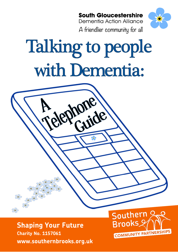**South Gloucestershire** 

**Dementia Action Alliance** A friendlier community for all



# Talking to people with Dementia:

ine Vir

**Shaping Your Future**<br>Charity No. 1157061 **Charity No. 1157061 www.southernbrooks.org.uk**

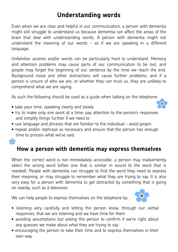### **Understanding words**

Even when we are clear and helpful in our communication, a person with dementia might still struggle to understand us because dementia can affect the areas of the brain that deal with understanding words. A person with dementia might not understand the meaning of our words - as if we are speaking in a different language.

Unfamiliar accents and/or words can be particularly hard to understand. Memory and attention problems may cause parts of our communication to be lost, and people may forget the beginning of our sentence by the time we reach the end. Background noise and other distractions will cause further problems, and if a person is unsure of who we are, or whether they can trust us, they are unlikely to comprehend what we are saying.

As such the following should be used as a guide when talking on the telephone:

- take your time, speaking clearly and slowly
- try to make only one point at a time; pay attention to the person's responses and simplify things further if we need to
- use language and phrases that are familiar to the individual avoid jargon
- repeat and/or rephrase as necessary and ensure that the person has enough time to process what we've said.

36

## **How a person with dementia may express themselves**

When the correct word is not immediately accessible, a person may inadvertently select the wrong word (often one that is similar in sound to the word that is needed). People with dementia can struggle to find the word they need to express their meaning, or may struggle to remember what they are trying to say. It is also very easy for a person with dementia to get distracted by something that is going on nearby, such as a television.

We can help people to express themselves on the telephone by:



- listening very carefully and letting the person know, through our verbal responses, that we are listening and we have time for them
- avoiding assumptions but asking the person to confirm if we're right about any guesses we make about what they are trying to say
- encouraging the person to take their time and to express themselves in their own way.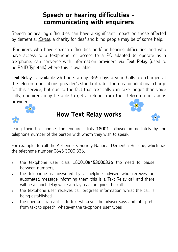## **COMMUNICATING WITH ENGLIFETS communicating with enquirers**

Speech or hearing difficulties can have a significant impact on those affected by dementia. *[Sense](http://www.sense.org.uk/)*, a charity for deaf and blind people may be of some help.

Enquirers who have speech difficulties and/ or hearing difficulties and who have access to a textphone, or access to a PC adapted to operate as a textphone, can converse with information providers via [Text Relay \(](http://www.textrelay.org/index.php)used to be RNID Typetalk) where this is available.

Text Relay is available 24 hours a day, 365 days a year. Calls are charged at the telecommunications provider's standard rate. There is no additional charge for this service, but due to the fact that text calls can take longer than voice calls, enquirers may be able to get a refund from their telecommunications provider.



#### **How Text Relay works**



Using their text phone, the enquirer dials 18001 followed immediately by the telephone number of the person with whom they wish to speak.

For example, to call the Alzheimer's Society National Dementia Helpline, which has the telephone number 0845 3000 336:

- the textphone user dials 1800108453000336 (no need to pause between numbers)
- the telephone is answered by a helpline adviser who receives an automated message informing them this is a Text Relay call and there will be a short delay while a relay assistant joins the call.
- the textphone user receives call progress information whilst the call is being established
- the operator transcribes to text whatever the adviser says and interprets from text to speech, whatever the textphone user types